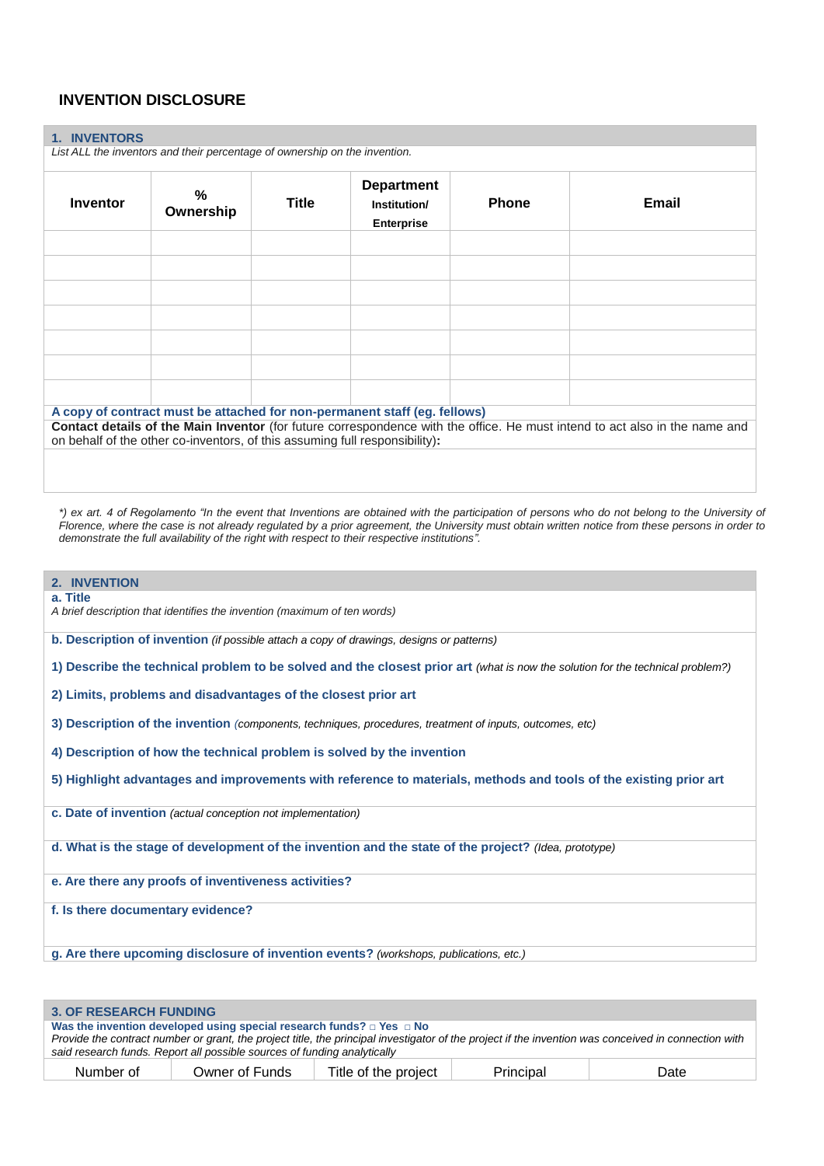# **INVENTION DISCLOSURE**

## **1. INVENTORS**

*List ALL the inventors and their percentage of ownership on the invention.*

| Inventor                                                                  | %<br>Ownership                                                              | Title | <b>Department</b><br>Institution/<br><b>Enterprise</b> | <b>Phone</b> | Email                                                                                                                       |
|---------------------------------------------------------------------------|-----------------------------------------------------------------------------|-------|--------------------------------------------------------|--------------|-----------------------------------------------------------------------------------------------------------------------------|
|                                                                           |                                                                             |       |                                                        |              |                                                                                                                             |
|                                                                           |                                                                             |       |                                                        |              |                                                                                                                             |
|                                                                           |                                                                             |       |                                                        |              |                                                                                                                             |
|                                                                           |                                                                             |       |                                                        |              |                                                                                                                             |
|                                                                           |                                                                             |       |                                                        |              |                                                                                                                             |
|                                                                           |                                                                             |       |                                                        |              |                                                                                                                             |
|                                                                           |                                                                             |       |                                                        |              |                                                                                                                             |
|                                                                           |                                                                             |       |                                                        |              |                                                                                                                             |
|                                                                           |                                                                             |       |                                                        |              |                                                                                                                             |
|                                                                           |                                                                             |       |                                                        |              |                                                                                                                             |
| A copy of contract must be attached for non-permanent staff (eg. fellows) |                                                                             |       |                                                        |              |                                                                                                                             |
|                                                                           | on behalf of the other co-inventors, of this assuming full responsibility): |       |                                                        |              | Contact details of the Main Inventor (for future correspondence with the office. He must intend to act also in the name and |
|                                                                           |                                                                             |       |                                                        |              |                                                                                                                             |

*\*) ex art. 4 of Regolamento "In the event that Inventions are obtained with the participation of persons who do not belong to the University of Florence, where the case is not already regulated by a prior agreement, the University must obtain written notice from these persons in order to demonstrate the full availability of the right with respect to their respective institutions".*

# **2. INVENTION a. Title** *A brief description that identifies the invention (maximum of ten words)* **b. Description of invention** *(if possible attach a copy of drawings, designs or patterns)* **1) Describe the technical problem to be solved and the closest prior art** *(what is now the solution for the technical problem?)* **2) Limits, problems and disadvantages of the closest prior art 3) Description of the invention** *(components, techniques, procedures, treatment of inputs, outcomes, etc)* **4) Description of how the technical problem is solved by the invention 5) Highlight advantages and improvements with reference to materials, methods and tools of the existing prior art c. Date of invention** *(actual conception not implementation)*

**d. What is the stage of development of the invention and the state of the project?** *(Idea, prototype)*

**e. Are there any proofs of inventiveness activities?**

**f. Is there documentary evidence?**

**g. Are there upcoming disclosure of invention events?** *(workshops, publications, etc.)*

| <b>3. OF RESEARCH FUNDING</b>                                                                                                                                                                                                    |                |                      |           |      |  |
|----------------------------------------------------------------------------------------------------------------------------------------------------------------------------------------------------------------------------------|----------------|----------------------|-----------|------|--|
| Was the invention developed using special research funds? $\Box$ Yes $\Box$ No                                                                                                                                                   |                |                      |           |      |  |
| Provide the contract number or grant, the project title, the principal investigator of the project if the invention was conceived in connection with<br>said research funds. Report all possible sources of funding analytically |                |                      |           |      |  |
| Number of                                                                                                                                                                                                                        | Owner of Funds | Title of the project | Principal | Date |  |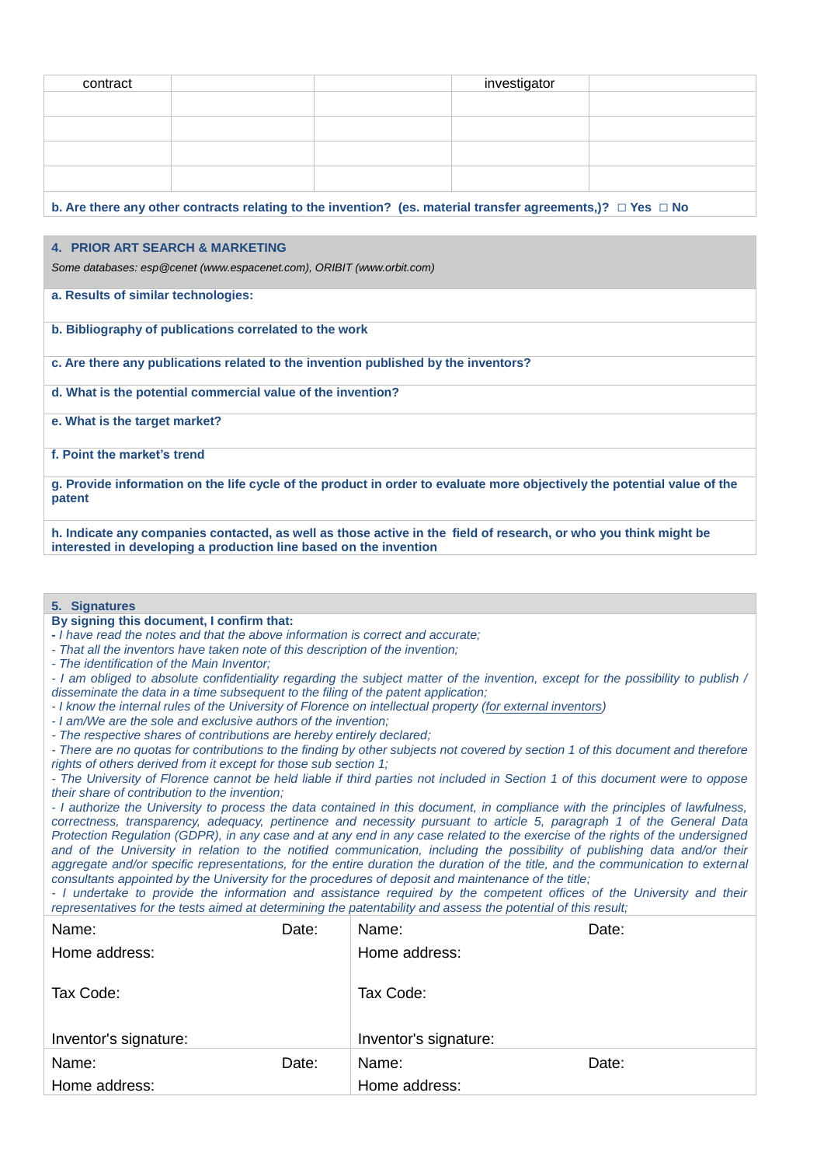| contract |  | investigator |  |
|----------|--|--------------|--|
|          |  |              |  |
|          |  |              |  |
|          |  |              |  |
|          |  |              |  |
|          |  |              |  |
|          |  |              |  |
|          |  |              |  |
|          |  |              |  |
|          |  |              |  |

**b. Are there any other contracts relating to the invention? (es. material transfer agreements,)? □ Yes □ No**

# **4. PRIOR ART SEARCH & MARKETING**

*Some databases: esp@cenet [\(www.espacenet.com\)](http://www.espacenet.com/), ORIBIT [\(www.orbit.com\)](http://www.orbit.com/)*

- **a. Results of similar technologies:**
- **b. Bibliography of publications correlated to the work**
- **c. Are there any publications related to the invention published by the inventors?**
- **d. What is the potential commercial value of the invention?**
- **e. What is the target market?**
- **f. Point the market's trend**

**g. Provide information on the life cycle of the product in order to evaluate more objectively the potential value of the patent**

**h. Indicate any companies contacted, as well as those active in the field of research, or who you think might be interested in developing a production line based on the invention**

## **5. Signatures**

## **By signing this document, I confirm that:**

- **-** *I have read the notes and that the above information is correct and accurate;*
- *- That all the inventors have taken note of this description of the invention;*
- *- The identification of the Main Inventor;*

*- I am obliged to absolute confidentiality regarding the subject matter of the invention, except for the possibility to publish / disseminate the data in a time subsequent to the filing of the patent application;*

- *- I know the internal rules of the University of Florence on intellectual property (for external inventors)*
- *- I am/We are the sole and exclusive authors of the invention;*
- *- The respective shares of contributions are hereby entirely declared;*

*- There are no quotas for contributions to the finding by other subjects not covered by section 1 of this document and therefore rights of others derived from it except for those sub section 1;*

*- The University of Florence cannot be held liable if third parties not included in Section 1 of this document were to oppose their share of contribution to the invention;*

*- I authorize the University to process the data contained in this document, in compliance with the principles of lawfulness, correctness, transparency, adequacy, pertinence and necessity pursuant to article 5, paragraph 1 of the General Data Protection Regulation (GDPR), in any case and at any end in any case related to the exercise of the rights of the undersigned*  and of the University in relation to the notified communication, including the possibility of publishing data and/or their *aggregate and/or specific representations, for the entire duration the duration of the title, and the communication to external consultants appointed by the University for the procedures of deposit and maintenance of the title;*

*- I undertake to provide the information and assistance required by the competent offices of the University and their representatives for the tests aimed at determining the patentability and assess the potential of this result;*

| Name:                 | Date: | Name:                 | Date: |
|-----------------------|-------|-----------------------|-------|
| Home address:         |       | Home address:         |       |
|                       |       |                       |       |
| Tax Code:             |       | Tax Code:             |       |
|                       |       |                       |       |
|                       |       |                       |       |
| Inventor's signature: |       | Inventor's signature: |       |
| Name:                 | Date: | Name:                 | Date: |
| Home address:         |       | Home address:         |       |
|                       |       |                       |       |